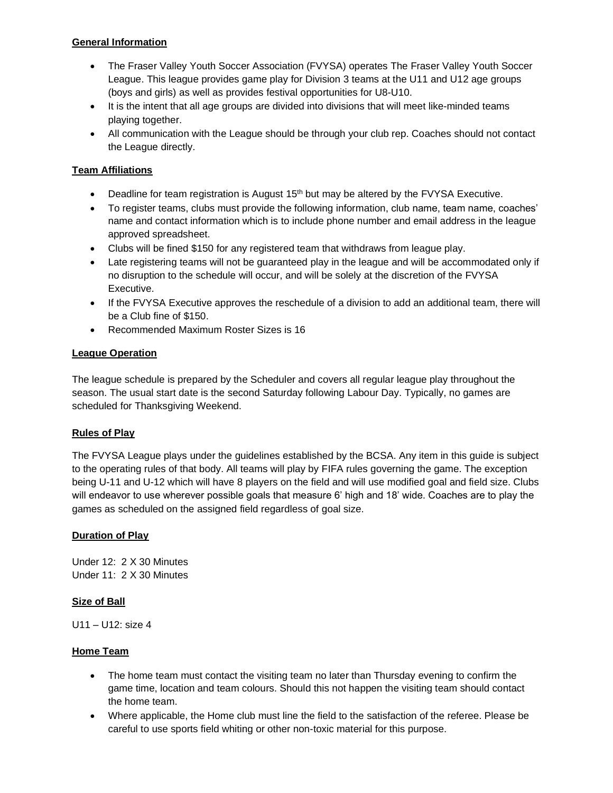# **General Information**

- The Fraser Valley Youth Soccer Association (FVYSA) operates The Fraser Valley Youth Soccer League. This league provides game play for Division 3 teams at the U11 and U12 age groups (boys and girls) as well as provides festival opportunities for U8-U10.
- It is the intent that all age groups are divided into divisions that will meet like-minded teams playing together.
- All communication with the League should be through your club rep. Coaches should not contact the League directly.

# **Team Affiliations**

- Deadline for team registration is August  $15<sup>th</sup>$  but may be altered by the FVYSA Executive.
- To register teams, clubs must provide the following information, club name, team name, coaches' name and contact information which is to include phone number and email address in the league approved spreadsheet.
- Clubs will be fined \$150 for any registered team that withdraws from league play.
- Late registering teams will not be guaranteed play in the league and will be accommodated only if no disruption to the schedule will occur, and will be solely at the discretion of the FVYSA Executive.
- If the FVYSA Executive approves the reschedule of a division to add an additional team, there will be a Club fine of \$150.
- Recommended Maximum Roster Sizes is 16

# **League Operation**

The league schedule is prepared by the Scheduler and covers all regular league play throughout the season. The usual start date is the second Saturday following Labour Day. Typically, no games are scheduled for Thanksgiving Weekend.

# **Rules of Play**

The FVYSA League plays under the guidelines established by the BCSA. Any item in this guide is subject to the operating rules of that body. All teams will play by FIFA rules governing the game. The exception being U-11 and U-12 which will have 8 players on the field and will use modified goal and field size. Clubs will endeavor to use wherever possible goals that measure 6' high and 18' wide. Coaches are to play the games as scheduled on the assigned field regardless of goal size.

# **Duration of Play**

Under 12: 2 X 30 Minutes Under 11: 2 X 30 Minutes

# **Size of Ball**

U11 – U12: size 4

# **Home Team**

- The home team must contact the visiting team no later than Thursday evening to confirm the game time, location and team colours. Should this not happen the visiting team should contact the home team.
- Where applicable, the Home club must line the field to the satisfaction of the referee. Please be careful to use sports field whiting or other non-toxic material for this purpose.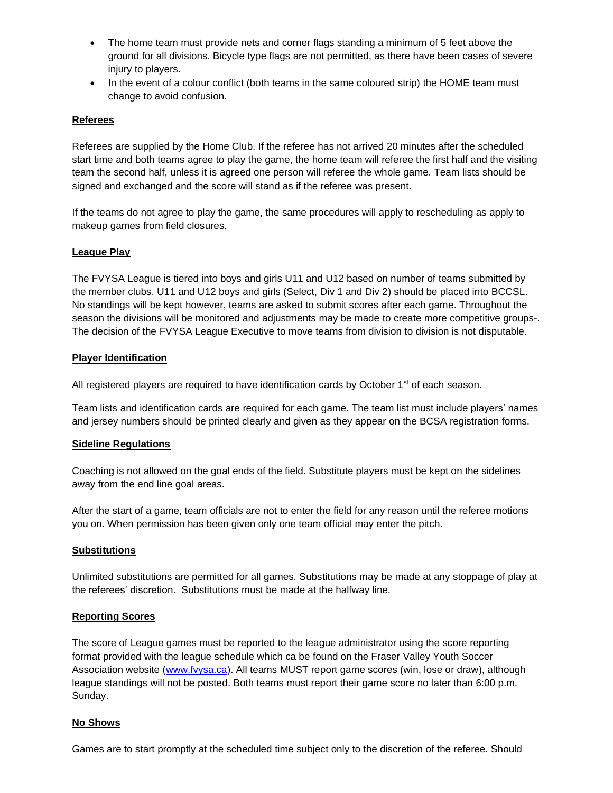- The home team must provide nets and corner flags standing a minimum of 5 feet above the ground for all divisions. Bicycle type flags are not permitted, as there have been cases of severe injury to players.
- In the event of a colour conflict (both teams in the same coloured strip) the HOME team must change to avoid confusion.

## **Referees**

Referees are supplied by the Home Club. If the referee has not arrived 20 minutes after the scheduled start time and both teams agree to play the game, the home team will referee the first half and the visiting team the second half, unless it is agreed one person will referee the whole game. Team lists should be signed and exchanged and the score will stand as if the referee was present.

If the teams do not agree to play the game, the same procedures will apply to rescheduling as apply to makeup games from field closures.

#### **League Play**

The FVYSA League is tiered into boys and girls U11 and U12 based on number of teams submitted by the member clubs. U11 and U12 boys and girls (Select, Div 1 and Div 2) should be placed into BCCSL. No standings will be kept however, teams are asked to submit scores after each game. Throughout the season the divisions will be monitored and adjustments may be made to create more competitive groups-. The decision of the FVYSA League Executive to move teams from division to division is not disputable.

## **Player Identification**

All registered players are required to have identification cards by October 1<sup>st</sup> of each season.

Team lists and identification cards are required for each game. The team list must include players' names and jersey numbers should be printed clearly and given as they appear on the BCSA registration forms.

#### **Sideline Regulations**

Coaching is not allowed on the goal ends of the field. Substitute players must be kept on the sidelines away from the end line goal areas.

After the start of a game, team officials are not to enter the field for any reason until the referee motions you on. When permission has been given only one team official may enter the pitch.

## **Substitutions**

Unlimited substitutions are permitted for all games. Substitutions may be made at any stoppage of play at the referees' discretion. Substitutions must be made at the halfway line.

#### **Reporting Scores**

The score of League games must be reported to the league administrator using the score reporting format provided with the league schedule which ca be found on the Fraser Valley Youth Soccer Association website [\(www.fvysa.ca\)](http://www.fvysa.ca/). All teams MUST report game scores (win, lose or draw), although league standings will not be posted. Both teams must report their game score no later than 6:00 p.m. Sunday.

## **No Shows**

Games are to start promptly at the scheduled time subject only to the discretion of the referee. Should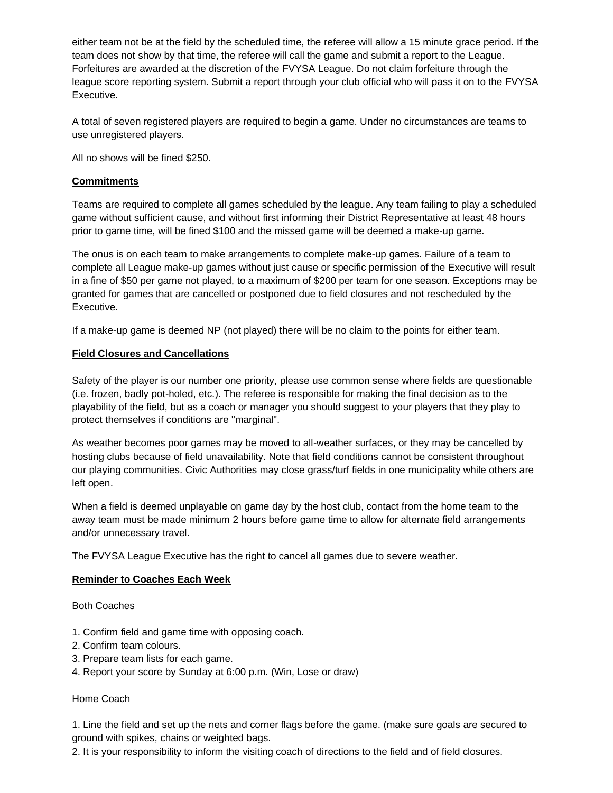either team not be at the field by the scheduled time, the referee will allow a 15 minute grace period. If the team does not show by that time, the referee will call the game and submit a report to the League. Forfeitures are awarded at the discretion of the FVYSA League. Do not claim forfeiture through the league score reporting system. Submit a report through your club official who will pass it on to the FVYSA Executive.

A total of seven registered players are required to begin a game. Under no circumstances are teams to use unregistered players.

All no shows will be fined \$250.

# **Commitments**

Teams are required to complete all games scheduled by the league. Any team failing to play a scheduled game without sufficient cause, and without first informing their District Representative at least 48 hours prior to game time, will be fined \$100 and the missed game will be deemed a make-up game.

The onus is on each team to make arrangements to complete make-up games. Failure of a team to complete all League make-up games without just cause or specific permission of the Executive will result in a fine of \$50 per game not played, to a maximum of \$200 per team for one season. Exceptions may be granted for games that are cancelled or postponed due to field closures and not rescheduled by the Executive.

If a make-up game is deemed NP (not played) there will be no claim to the points for either team.

## **Field Closures and Cancellations**

Safety of the player is our number one priority, please use common sense where fields are questionable (i.e. frozen, badly pot-holed, etc.). The referee is responsible for making the final decision as to the playability of the field, but as a coach or manager you should suggest to your players that they play to protect themselves if conditions are "marginal".

As weather becomes poor games may be moved to all-weather surfaces, or they may be cancelled by hosting clubs because of field unavailability. Note that field conditions cannot be consistent throughout our playing communities. Civic Authorities may close grass/turf fields in one municipality while others are left open.

When a field is deemed unplayable on game day by the host club, contact from the home team to the away team must be made minimum 2 hours before game time to allow for alternate field arrangements and/or unnecessary travel.

The FVYSA League Executive has the right to cancel all games due to severe weather.

#### **Reminder to Coaches Each Week**

Both Coaches

- 1. Confirm field and game time with opposing coach.
- 2. Confirm team colours.
- 3. Prepare team lists for each game.
- 4. Report your score by Sunday at 6:00 p.m. (Win, Lose or draw)

## Home Coach

1. Line the field and set up the nets and corner flags before the game. (make sure goals are secured to ground with spikes, chains or weighted bags.

2. It is your responsibility to inform the visiting coach of directions to the field and of field closures.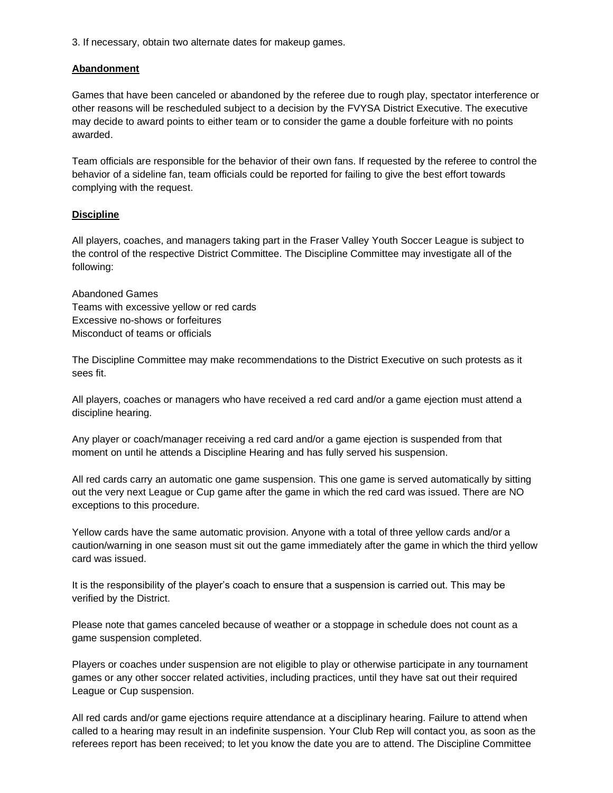3. If necessary, obtain two alternate dates for makeup games.

## **Abandonment**

Games that have been canceled or abandoned by the referee due to rough play, spectator interference or other reasons will be rescheduled subject to a decision by the FVYSA District Executive. The executive may decide to award points to either team or to consider the game a double forfeiture with no points awarded.

Team officials are responsible for the behavior of their own fans. If requested by the referee to control the behavior of a sideline fan, team officials could be reported for failing to give the best effort towards complying with the request.

## **Discipline**

All players, coaches, and managers taking part in the Fraser Valley Youth Soccer League is subject to the control of the respective District Committee. The Discipline Committee may investigate all of the following:

Abandoned Games Teams with excessive yellow or red cards Excessive no-shows or forfeitures Misconduct of teams or officials

The Discipline Committee may make recommendations to the District Executive on such protests as it sees fit.

All players, coaches or managers who have received a red card and/or a game ejection must attend a discipline hearing.

Any player or coach/manager receiving a red card and/or a game ejection is suspended from that moment on until he attends a Discipline Hearing and has fully served his suspension.

All red cards carry an automatic one game suspension. This one game is served automatically by sitting out the very next League or Cup game after the game in which the red card was issued. There are NO exceptions to this procedure.

Yellow cards have the same automatic provision. Anyone with a total of three yellow cards and/or a caution/warning in one season must sit out the game immediately after the game in which the third yellow card was issued.

It is the responsibility of the player's coach to ensure that a suspension is carried out. This may be verified by the District.

Please note that games canceled because of weather or a stoppage in schedule does not count as a game suspension completed.

Players or coaches under suspension are not eligible to play or otherwise participate in any tournament games or any other soccer related activities, including practices, until they have sat out their required League or Cup suspension.

All red cards and/or game ejections require attendance at a disciplinary hearing. Failure to attend when called to a hearing may result in an indefinite suspension. Your Club Rep will contact you, as soon as the referees report has been received; to let you know the date you are to attend. The Discipline Committee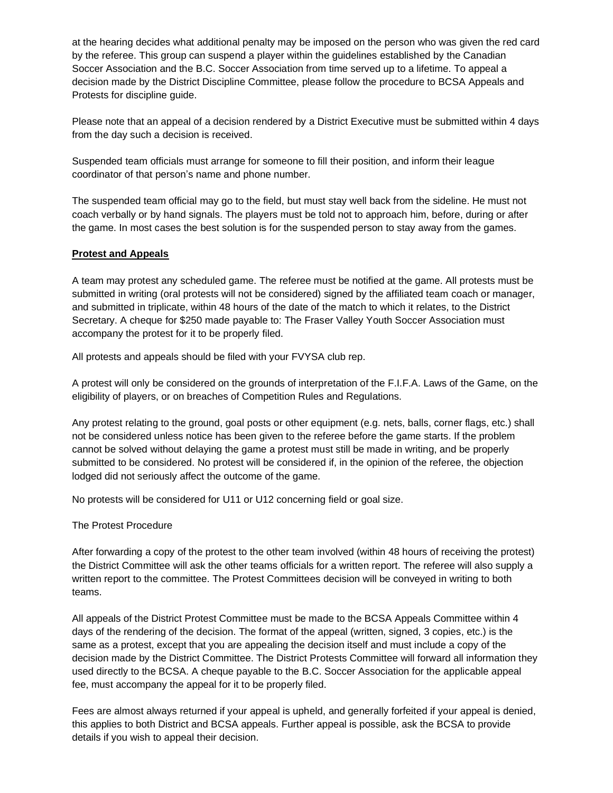at the hearing decides what additional penalty may be imposed on the person who was given the red card by the referee. This group can suspend a player within the guidelines established by the Canadian Soccer Association and the B.C. Soccer Association from time served up to a lifetime. To appeal a decision made by the District Discipline Committee, please follow the procedure to BCSA Appeals and Protests for discipline guide.

Please note that an appeal of a decision rendered by a District Executive must be submitted within 4 days from the day such a decision is received.

Suspended team officials must arrange for someone to fill their position, and inform their league coordinator of that person's name and phone number.

The suspended team official may go to the field, but must stay well back from the sideline. He must not coach verbally or by hand signals. The players must be told not to approach him, before, during or after the game. In most cases the best solution is for the suspended person to stay away from the games.

# **Protest and Appeals**

A team may protest any scheduled game. The referee must be notified at the game. All protests must be submitted in writing (oral protests will not be considered) signed by the affiliated team coach or manager, and submitted in triplicate, within 48 hours of the date of the match to which it relates, to the District Secretary. A cheque for \$250 made payable to: The Fraser Valley Youth Soccer Association must accompany the protest for it to be properly filed.

All protests and appeals should be filed with your FVYSA club rep.

A protest will only be considered on the grounds of interpretation of the F.I.F.A. Laws of the Game, on the eligibility of players, or on breaches of Competition Rules and Regulations.

Any protest relating to the ground, goal posts or other equipment (e.g. nets, balls, corner flags, etc.) shall not be considered unless notice has been given to the referee before the game starts. If the problem cannot be solved without delaying the game a protest must still be made in writing, and be properly submitted to be considered. No protest will be considered if, in the opinion of the referee, the objection lodged did not seriously affect the outcome of the game.

No protests will be considered for U11 or U12 concerning field or goal size.

#### The Protest Procedure

After forwarding a copy of the protest to the other team involved (within 48 hours of receiving the protest) the District Committee will ask the other teams officials for a written report. The referee will also supply a written report to the committee. The Protest Committees decision will be conveyed in writing to both teams.

All appeals of the District Protest Committee must be made to the BCSA Appeals Committee within 4 days of the rendering of the decision. The format of the appeal (written, signed, 3 copies, etc.) is the same as a protest, except that you are appealing the decision itself and must include a copy of the decision made by the District Committee. The District Protests Committee will forward all information they used directly to the BCSA. A cheque payable to the B.C. Soccer Association for the applicable appeal fee, must accompany the appeal for it to be properly filed.

Fees are almost always returned if your appeal is upheld, and generally forfeited if your appeal is denied, this applies to both District and BCSA appeals. Further appeal is possible, ask the BCSA to provide details if you wish to appeal their decision.